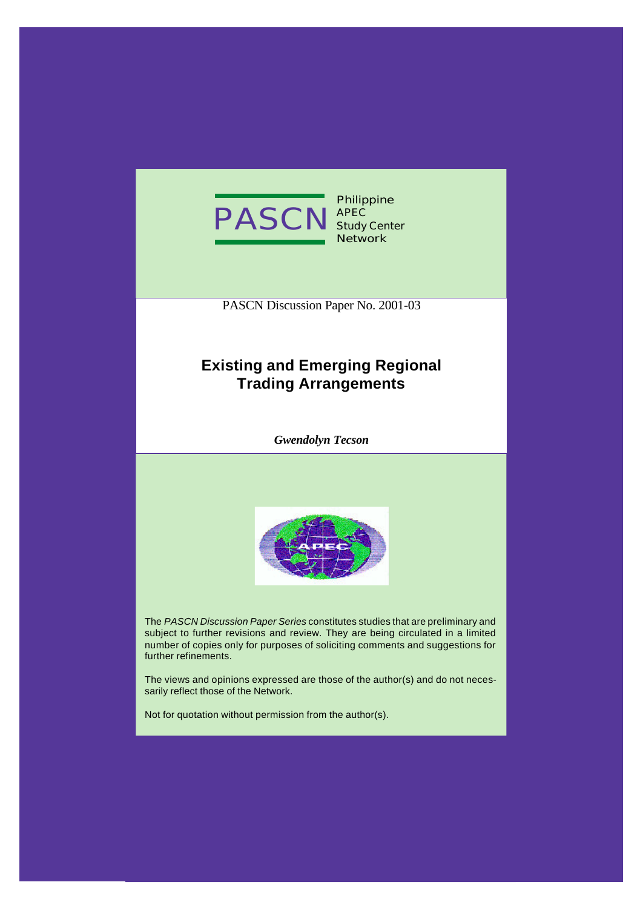

**Philippine APEC Study Center Network**

PASCN Discussion Paper No. 2001-03

# **Existing and Emerging Regional Trading Arrangements**

*Gwendolyn Tecson*



The *PASCN Discussion Paper Series* constitutes studies that are preliminary and subject to further revisions and review. They are being circulated in a limited number of copies only for purposes of soliciting comments and suggestions for further refinements.

The views and opinions expressed are those of the author(s) and do not necessarily reflect those of the Network.

Not for quotation without permission from the author(s).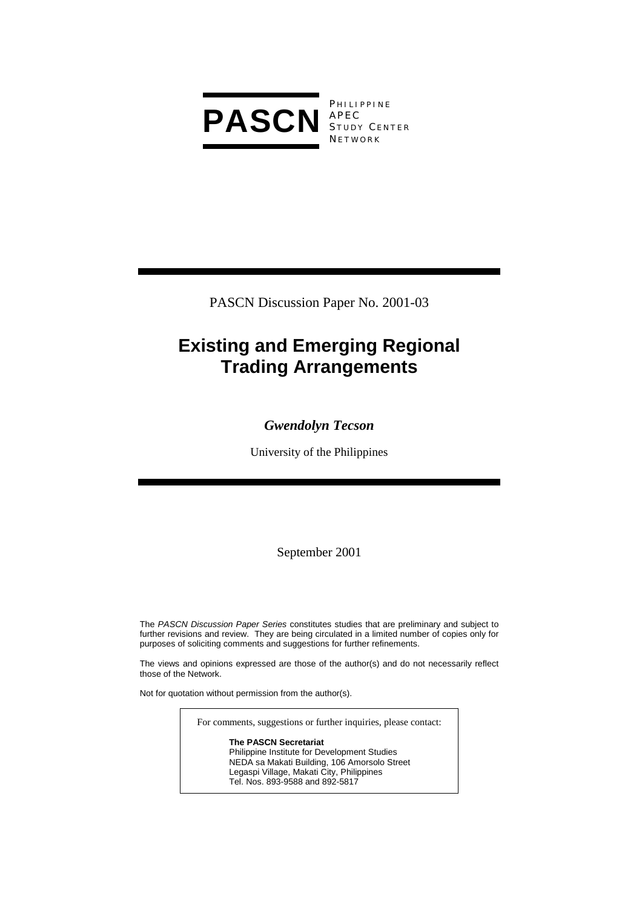

**PHILIPPINE** S TUDY C ENTER **NETWORK** 

PASCN Discussion Paper No. 2001-03

# **Existing and Emerging Regional Trading Arrangements**

# *Gwendolyn Tecson*

University of the Philippines

September 2001

The *PASCN Discussion Paper Series* constitutes studies that are preliminary and subject to further revisions and review. They are being circulated in a limited number of copies only for purposes of soliciting comments and suggestions for further refinements.

The views and opinions expressed are those of the author(s) and do not necessarily reflect those of the Network.

Not for quotation without permission from the author(s).

For comments, suggestions or further inquiries, please contact:

**The PASCN Secretariat** Philippine Institute for Development Studies NEDA sa Makati Building, 106 Amorsolo Street Legaspi Village, Makati City, Philippines Tel. Nos. 893-9588 and 892-5817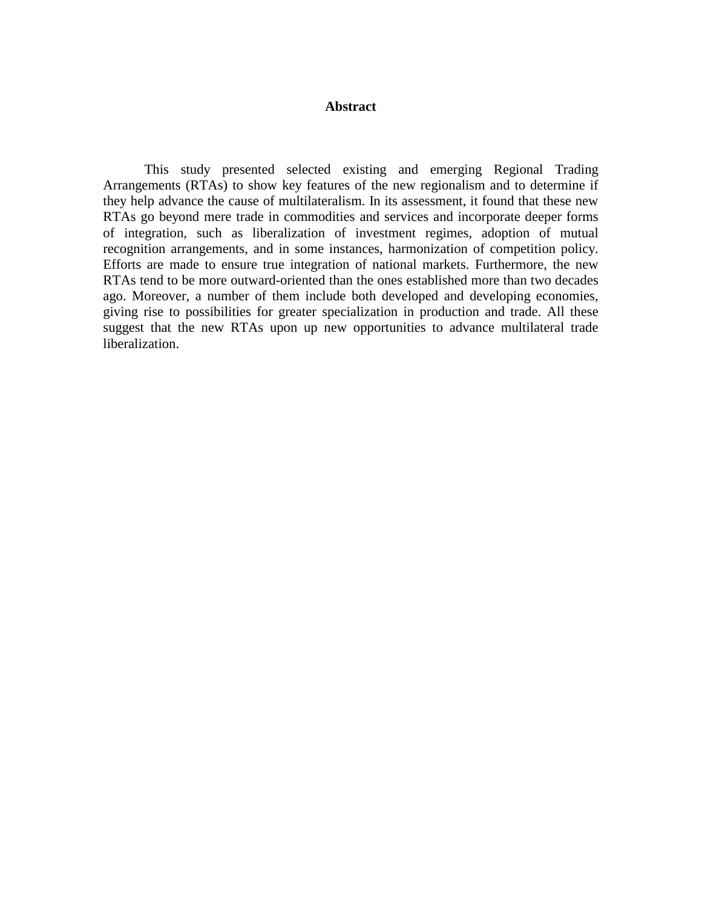#### **Abstract**

This study presented selected existing and emerging Regional Trading Arrangements (RTAs) to show key features of the new regionalism and to determine if they help advance the cause of multilateralism. In its assessment, it found that these new RTAs go beyond mere trade in commodities and services and incorporate deeper forms of integration, such as liberalization of investment regimes, adoption of mutual recognition arrangements, and in some instances, harmonization of competition policy. Efforts are made to ensure true integration of national markets. Furthermore, the new RTAs tend to be more outward-oriented than the ones established more than two decades ago. Moreover, a number of them include both developed and developing economies, giving rise to possibilities for greater specialization in production and trade. All these suggest that the new RTAs upon up new opportunities to advance multilateral trade liberalization.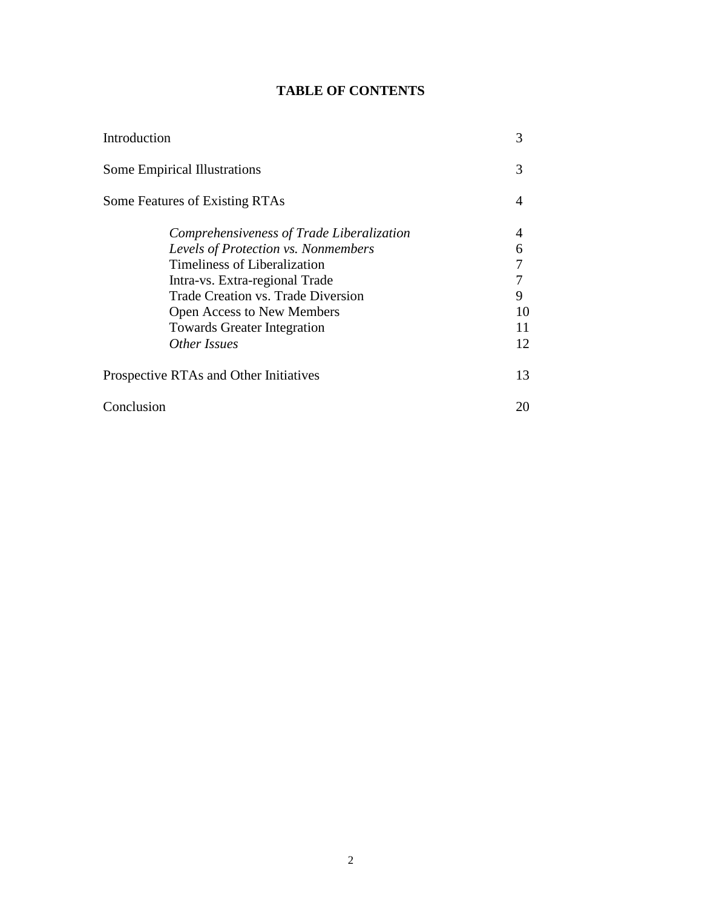## **TABLE OF CONTENTS**

| Introduction                              | 3  |
|-------------------------------------------|----|
| <b>Some Empirical Illustrations</b>       | 3  |
| Some Features of Existing RTAs            | 4  |
| Comprehensiveness of Trade Liberalization | 4  |
| Levels of Protection vs. Nonmembers       | 6  |
| Timeliness of Liberalization              |    |
| Intra-vs. Extra-regional Trade            |    |
| <b>Trade Creation vs. Trade Diversion</b> | 9  |
| <b>Open Access to New Members</b>         | 10 |
| <b>Towards Greater Integration</b>        | 11 |
| Other Issues                              | 12 |
| Prospective RTAs and Other Initiatives    | 13 |
| Conclusion                                | 20 |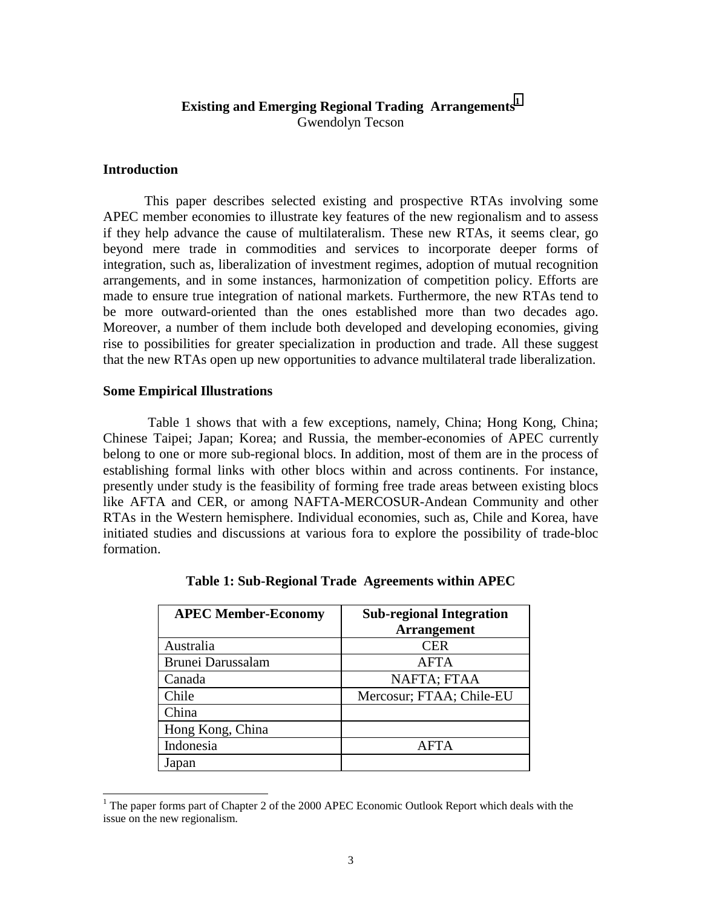## **Existing and Emerging Regional Trading Arrangements<sup>1</sup>** Gwendolyn Tecson

#### **Introduction**

This paper describes selected existing and prospective RTAs involving some APEC member economies to illustrate key features of the new regionalism and to assess if they help advance the cause of multilateralism. These new RTAs, it seems clear, go beyond mere trade in commodities and services to incorporate deeper forms of integration, such as, liberalization of investment regimes, adoption of mutual recognition arrangements, and in some instances, harmonization of competition policy. Efforts are made to ensure true integration of national markets. Furthermore, the new RTAs tend to be more outward-oriented than the ones established more than two decades ago. Moreover, a number of them include both developed and developing economies, giving rise to possibilities for greater specialization in production and trade. All these suggest that the new RTAs open up new opportunities to advance multilateral trade liberalization.

#### **Some Empirical Illustrations**

 Table 1 shows that with a few exceptions, namely, China; Hong Kong, China; Chinese Taipei; Japan; Korea; and Russia, the member-economies of APEC currently belong to one or more sub-regional blocs. In addition, most of them are in the process of establishing formal links with other blocs within and across continents. For instance, presently under study is the feasibility of forming free trade areas between existing blocs like AFTA and CER, or among NAFTA-MERCOSUR-Andean Community and other RTAs in the Western hemisphere. Individual economies, such as, Chile and Korea, have initiated studies and discussions at various fora to explore the possibility of trade-bloc formation.

| <b>APEC Member-Economy</b> | <b>Sub-regional Integration</b><br><b>Arrangement</b> |
|----------------------------|-------------------------------------------------------|
| Australia                  | <b>CER</b>                                            |
| <b>Brunei Darussalam</b>   | AFTA                                                  |
| Canada                     | NAFTA; FTAA                                           |
| Chile                      | Mercosur; FTAA; Chile-EU                              |
| China                      |                                                       |
| Hong Kong, China           |                                                       |
| Indonesia                  | AFTA                                                  |
| Japan                      |                                                       |

**Table 1: Sub-Regional Trade Agreements within APEC** 

<sup>&</sup>lt;sup>1</sup> The paper forms part of Chapter 2 of the 2000 APEC Economic Outlook Report which deals with the issue on the new regionalism.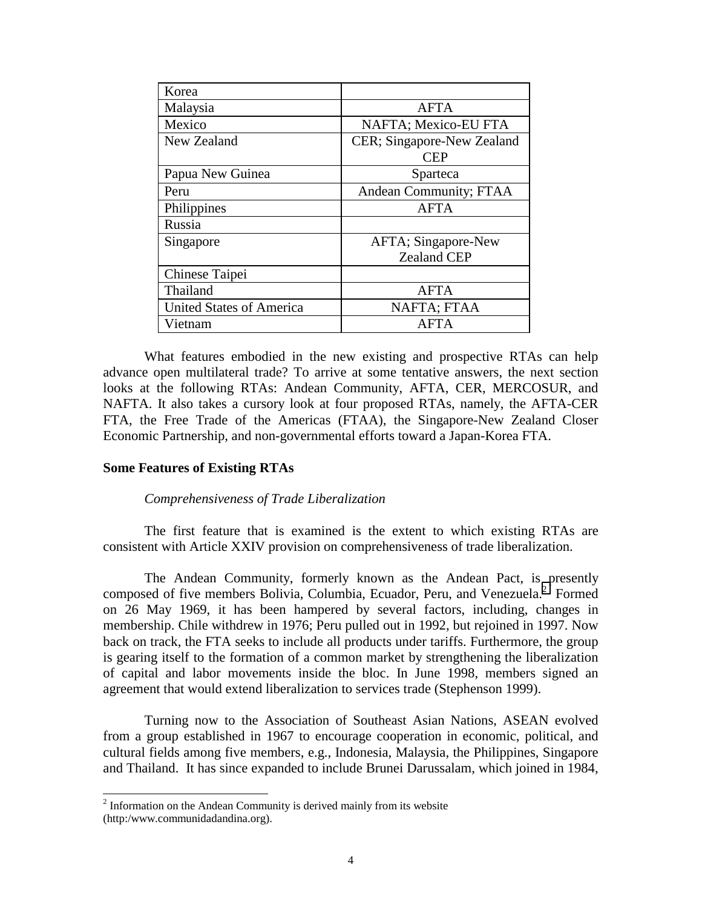| Korea                           |                            |
|---------------------------------|----------------------------|
| Malaysia                        | <b>AFTA</b>                |
| Mexico                          | NAFTA; Mexico-EU FTA       |
| New Zealand                     | CER; Singapore-New Zealand |
|                                 | CEP                        |
| Papua New Guinea                | Sparteca                   |
| Peru                            | Andean Community; FTAA     |
| Philippines                     | <b>AFTA</b>                |
| Russia                          |                            |
| Singapore                       | AFTA; Singapore-New        |
|                                 | <b>Zealand CEP</b>         |
| Chinese Taipei                  |                            |
| Thailand                        | <b>AFTA</b>                |
| <b>United States of America</b> | NAFTA; FTAA                |
| Vietnam                         | AFTA                       |

What features embodied in the new existing and prospective RTAs can help advance open multilateral trade? To arrive at some tentative answers, the next section looks at the following RTAs: Andean Community, AFTA, CER, MERCOSUR, and NAFTA. It also takes a cursory look at four proposed RTAs, namely, the AFTA-CER FTA, the Free Trade of the Americas (FTAA), the Singapore-New Zealand Closer Economic Partnership, and non-governmental efforts toward a Japan-Korea FTA.

#### **Some Features of Existing RTAs**

#### *Comprehensiveness of Trade Liberalization*

The first feature that is examined is the extent to which existing RTAs are consistent with Article XXIV provision on comprehensiveness of trade liberalization.

The Andean Community, formerly known as the Andean Pact, is presently composed of five members Bolivia, Columbia, Ecuador, Peru, and Venezuela.<sup>2</sup> Formed on 26 May 1969, it has been hampered by several factors, including, changes in membership. Chile withdrew in 1976; Peru pulled out in 1992, but rejoined in 1997. Now back on track, the FTA seeks to include all products under tariffs. Furthermore, the group is gearing itself to the formation of a common market by strengthening the liberalization of capital and labor movements inside the bloc. In June 1998, members signed an agreement that would extend liberalization to services trade (Stephenson 1999).

Turning now to the Association of Southeast Asian Nations, ASEAN evolved from a group established in 1967 to encourage cooperation in economic, political, and cultural fields among five members, e.g., Indonesia, Malaysia, the Philippines, Singapore and Thailand. It has since expanded to include Brunei Darussalam, which joined in 1984,

<sup>&</sup>lt;sup>2</sup> Information on the Andean Community is derived mainly from its website (http:/www.communidadandina.org).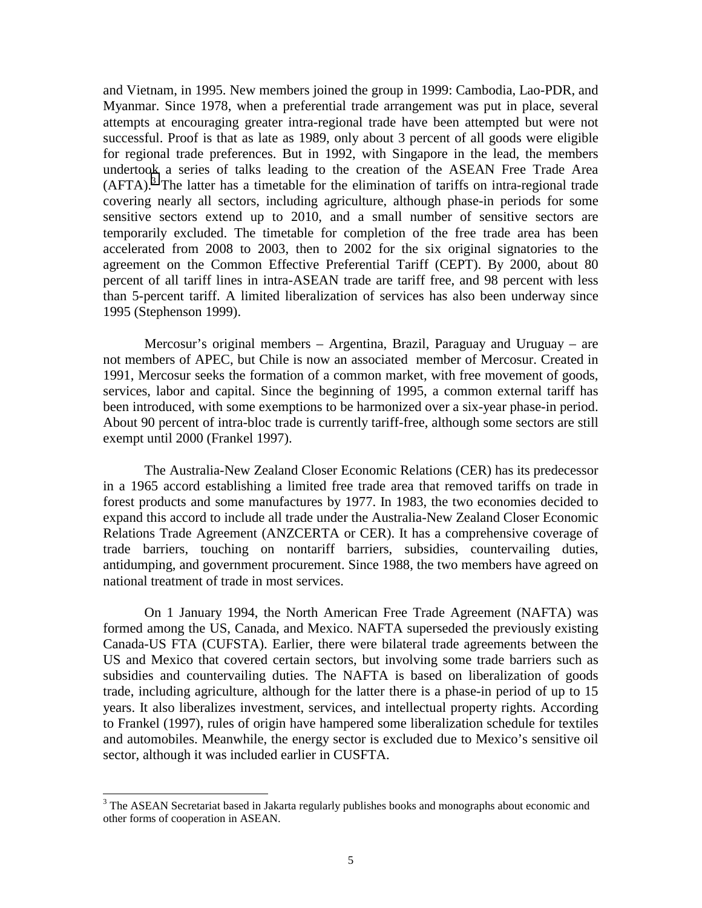and Vietnam, in 1995. New members joined the group in 1999: Cambodia, Lao-PDR, and Myanmar. Since 1978, when a preferential trade arrangement was put in place, several attempts at encouraging greater intra-regional trade have been attempted but were not successful. Proof is that as late as 1989, only about 3 percent of all goods were eligible for regional trade preferences. But in 1992, with Singapore in the lead, the members undertook a series of talks leading to the creation of the ASEAN Free Trade Area  $(AFTA).$ <sup>3</sup> The latter has a timetable for the elimination of tariffs on intra-regional trade covering nearly all sectors, including agriculture, although phase-in periods for some sensitive sectors extend up to 2010, and a small number of sensitive sectors are temporarily excluded. The timetable for completion of the free trade area has been accelerated from 2008 to 2003, then to 2002 for the six original signatories to the agreement on the Common Effective Preferential Tariff (CEPT). By 2000, about 80 percent of all tariff lines in intra-ASEAN trade are tariff free, and 98 percent with less than 5-percent tariff. A limited liberalization of services has also been underway since 1995 (Stephenson 1999).

Mercosur's original members – Argentina, Brazil, Paraguay and Uruguay – are not members of APEC, but Chile is now an associated member of Mercosur. Created in 1991, Mercosur seeks the formation of a common market, with free movement of goods, services, labor and capital. Since the beginning of 1995, a common external tariff has been introduced, with some exemptions to be harmonized over a six-year phase-in period. About 90 percent of intra-bloc trade is currently tariff-free, although some sectors are still exempt until 2000 (Frankel 1997).

The Australia-New Zealand Closer Economic Relations (CER) has its predecessor in a 1965 accord establishing a limited free trade area that removed tariffs on trade in forest products and some manufactures by 1977. In 1983, the two economies decided to expand this accord to include all trade under the Australia-New Zealand Closer Economic Relations Trade Agreement (ANZCERTA or CER). It has a comprehensive coverage of trade barriers, touching on nontariff barriers, subsidies, countervailing duties, antidumping, and government procurement. Since 1988, the two members have agreed on national treatment of trade in most services.

On 1 January 1994, the North American Free Trade Agreement (NAFTA) was formed among the US, Canada, and Mexico. NAFTA superseded the previously existing Canada-US FTA (CUFSTA). Earlier, there were bilateral trade agreements between the US and Mexico that covered certain sectors, but involving some trade barriers such as subsidies and countervailing duties. The NAFTA is based on liberalization of goods trade, including agriculture, although for the latter there is a phase-in period of up to 15 years. It also liberalizes investment, services, and intellectual property rights. According to Frankel (1997), rules of origin have hampered some liberalization schedule for textiles and automobiles. Meanwhile, the energy sector is excluded due to Mexico's sensitive oil sector, although it was included earlier in CUSFTA.

<sup>&</sup>lt;sup>3</sup> The ASEAN Secretariat based in Jakarta regularly publishes books and monographs about economic and other forms of cooperation in ASEAN.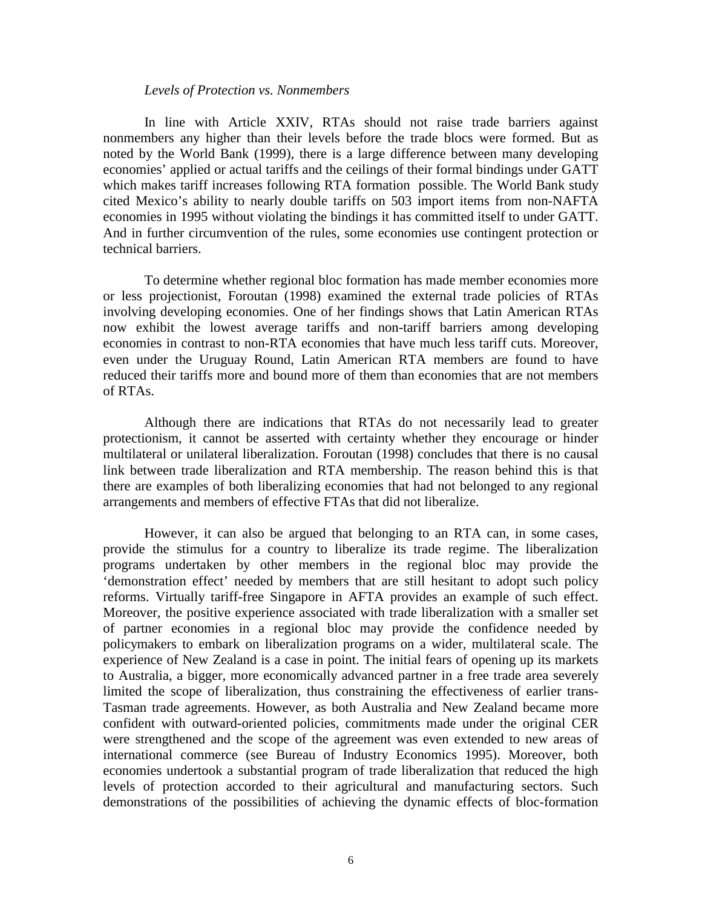#### *Levels of Protection vs. Nonmembers*

In line with Article XXIV, RTAs should not raise trade barriers against nonmembers any higher than their levels before the trade blocs were formed. But as noted by the World Bank (1999), there is a large difference between many developing economies' applied or actual tariffs and the ceilings of their formal bindings under GATT which makes tariff increases following RTA formation possible. The World Bank study cited Mexico's ability to nearly double tariffs on 503 import items from non-NAFTA economies in 1995 without violating the bindings it has committed itself to under GATT. And in further circumvention of the rules, some economies use contingent protection or technical barriers.

To determine whether regional bloc formation has made member economies more or less projectionist, Foroutan (1998) examined the external trade policies of RTAs involving developing economies. One of her findings shows that Latin American RTAs now exhibit the lowest average tariffs and non-tariff barriers among developing economies in contrast to non-RTA economies that have much less tariff cuts. Moreover, even under the Uruguay Round, Latin American RTA members are found to have reduced their tariffs more and bound more of them than economies that are not members of RTAs.

Although there are indications that RTAs do not necessarily lead to greater protectionism, it cannot be asserted with certainty whether they encourage or hinder multilateral or unilateral liberalization. Foroutan (1998) concludes that there is no causal link between trade liberalization and RTA membership. The reason behind this is that there are examples of both liberalizing economies that had not belonged to any regional arrangements and members of effective FTAs that did not liberalize.

However, it can also be argued that belonging to an RTA can, in some cases, provide the stimulus for a country to liberalize its trade regime. The liberalization programs undertaken by other members in the regional bloc may provide the 'demonstration effect' needed by members that are still hesitant to adopt such policy reforms. Virtually tariff-free Singapore in AFTA provides an example of such effect. Moreover, the positive experience associated with trade liberalization with a smaller set of partner economies in a regional bloc may provide the confidence needed by policymakers to embark on liberalization programs on a wider, multilateral scale. The experience of New Zealand is a case in point. The initial fears of opening up its markets to Australia, a bigger, more economically advanced partner in a free trade area severely limited the scope of liberalization, thus constraining the effectiveness of earlier trans-Tasman trade agreements. However, as both Australia and New Zealand became more confident with outward-oriented policies, commitments made under the original CER were strengthened and the scope of the agreement was even extended to new areas of international commerce (see Bureau of Industry Economics 1995). Moreover, both economies undertook a substantial program of trade liberalization that reduced the high levels of protection accorded to their agricultural and manufacturing sectors. Such demonstrations of the possibilities of achieving the dynamic effects of bloc-formation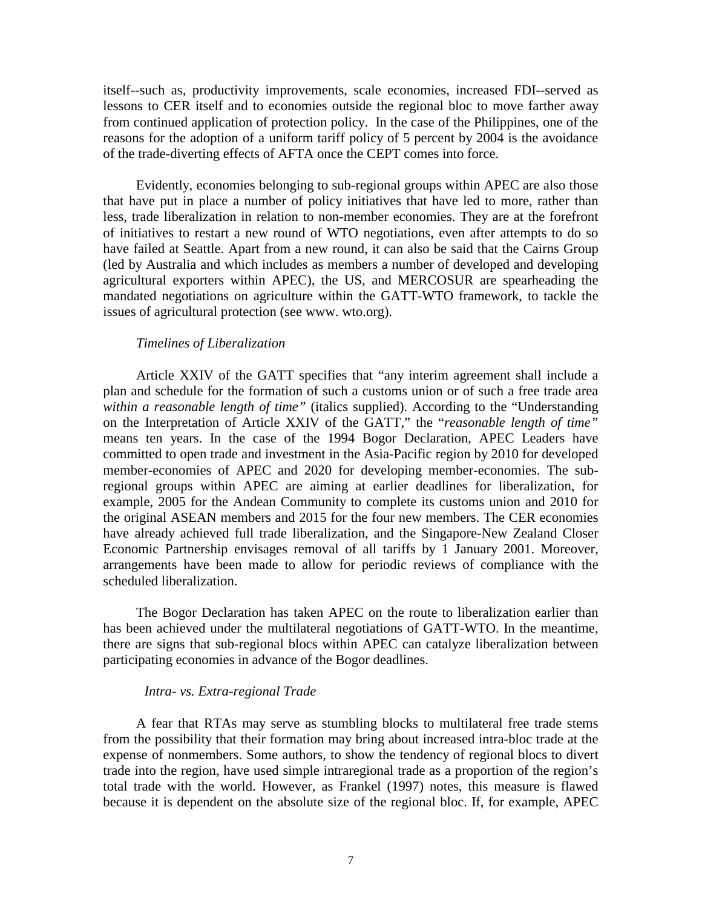itself--such as, productivity improvements, scale economies, increased FDI--served as lessons to CER itself and to economies outside the regional bloc to move farther away from continued application of protection policy. In the case of the Philippines, one of the reasons for the adoption of a uniform tariff policy of 5 percent by 2004 is the avoidance of the trade-diverting effects of AFTA once the CEPT comes into force.

 Evidently, economies belonging to sub-regional groups within APEC are also those that have put in place a number of policy initiatives that have led to more, rather than less, trade liberalization in relation to non-member economies. They are at the forefront of initiatives to restart a new round of WTO negotiations, even after attempts to do so have failed at Seattle. Apart from a new round, it can also be said that the Cairns Group (led by Australia and which includes as members a number of developed and developing agricultural exporters within APEC), the US, and MERCOSUR are spearheading the mandated negotiations on agriculture within the GATT-WTO framework, to tackle the issues of agricultural protection (see www. wto.org).

#### *Timelines of Liberalization*

 Article XXIV of the GATT specifies that "any interim agreement shall include a plan and schedule for the formation of such a customs union or of such a free trade area *within a reasonable length of time"* (italics supplied). According to the "Understanding on the Interpretation of Article XXIV of the GATT," the "*reasonable length of time"*  means ten years. In the case of the 1994 Bogor Declaration, APEC Leaders have committed to open trade and investment in the Asia-Pacific region by 2010 for developed member-economies of APEC and 2020 for developing member-economies. The subregional groups within APEC are aiming at earlier deadlines for liberalization, for example, 2005 for the Andean Community to complete its customs union and 2010 for the original ASEAN members and 2015 for the four new members. The CER economies have already achieved full trade liberalization, and the Singapore-New Zealand Closer Economic Partnership envisages removal of all tariffs by 1 January 2001. Moreover, arrangements have been made to allow for periodic reviews of compliance with the scheduled liberalization.

 The Bogor Declaration has taken APEC on the route to liberalization earlier than has been achieved under the multilateral negotiations of GATT-WTO. In the meantime, there are signs that sub-regional blocs within APEC can catalyze liberalization between participating economies in advance of the Bogor deadlines.

#### *Intra- vs. Extra-regional Trade*

 A fear that RTAs may serve as stumbling blocks to multilateral free trade stems from the possibility that their formation may bring about increased intra-bloc trade at the expense of nonmembers. Some authors, to show the tendency of regional blocs to divert trade into the region, have used simple intraregional trade as a proportion of the region's total trade with the world. However, as Frankel (1997) notes, this measure is flawed because it is dependent on the absolute size of the regional bloc. If, for example, APEC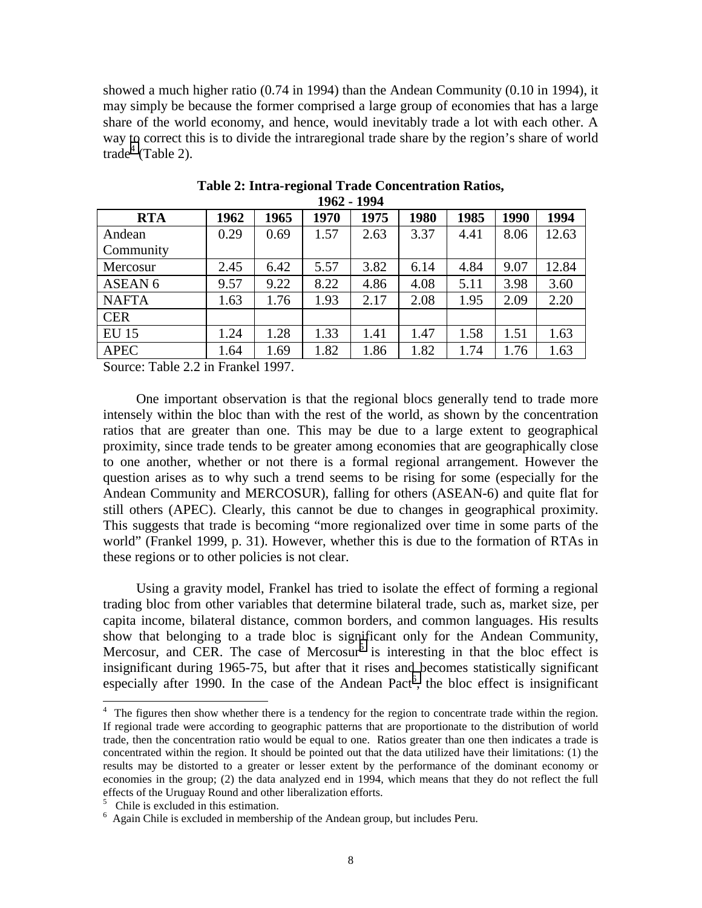showed a much higher ratio (0.74 in 1994) than the Andean Community (0.10 in 1994), it may simply be because the former comprised a large group of economies that has a large share of the world economy, and hence, would inevitably trade a lot with each other. A way to correct this is to divide the intraregional trade share by the region's share of world trade<sup>4</sup> (Table 2).

| .<br>.             |      |      |      |      |      |      |      |       |
|--------------------|------|------|------|------|------|------|------|-------|
| <b>RTA</b>         | 1962 | 1965 | 1970 | 1975 | 1980 | 1985 | 1990 | 1994  |
| Andean             | 0.29 | 0.69 | 1.57 | 2.63 | 3.37 | 4.41 | 8.06 | 12.63 |
| Community          |      |      |      |      |      |      |      |       |
| Mercosur           | 2.45 | 6.42 | 5.57 | 3.82 | 6.14 | 4.84 | 9.07 | 12.84 |
| ASEAN <sub>6</sub> | 9.57 | 9.22 | 8.22 | 4.86 | 4.08 | 5.11 | 3.98 | 3.60  |
| <b>NAFTA</b>       | 1.63 | 1.76 | 1.93 | 2.17 | 2.08 | 1.95 | 2.09 | 2.20  |
| <b>CER</b>         |      |      |      |      |      |      |      |       |
| <b>EU 15</b>       | 1.24 | 1.28 | 1.33 | 1.41 | 1.47 | 1.58 | 1.51 | 1.63  |
| <b>APEC</b>        | 1.64 | 1.69 | 1.82 | 1.86 | 1.82 | 1.74 | 1.76 | 1.63  |

**Table 2: Intra-regional Trade Concentration Ratios, 1962 - 1994** 

Source: Table 2.2 in Frankel 1997.

 One important observation is that the regional blocs generally tend to trade more intensely within the bloc than with the rest of the world, as shown by the concentration ratios that are greater than one. This may be due to a large extent to geographical proximity, since trade tends to be greater among economies that are geographically close to one another, whether or not there is a formal regional arrangement. However the question arises as to why such a trend seems to be rising for some (especially for the Andean Community and MERCOSUR), falling for others (ASEAN-6) and quite flat for still others (APEC). Clearly, this cannot be due to changes in geographical proximity. This suggests that trade is becoming "more regionalized over time in some parts of the world" (Frankel 1999, p. 31). However, whether this is due to the formation of RTAs in these regions or to other policies is not clear.

 Using a gravity model, Frankel has tried to isolate the effect of forming a regional trading bloc from other variables that determine bilateral trade, such as, market size, per capita income, bilateral distance, common borders, and common languages. His results show that belonging to a trade bloc is significant only for the Andean Community, Mercosur, and CER. The case of Mercosur<sup>5</sup> is interesting in that the bloc effect is insignificant during 1965-75, but after that it rises and becomes statistically significant especially after 1990. In the case of the Andean Pact<sup>6</sup>, the bloc effect is insignificant

 $\overline{a}$ 

<sup>&</sup>lt;sup>4</sup> The figures then show whether there is a tendency for the region to concentrate trade within the region. If regional trade were according to geographic patterns that are proportionate to the distribution of world trade, then the concentration ratio would be equal to one. Ratios greater than one then indicates a trade is concentrated within the region. It should be pointed out that the data utilized have their limitations: (1) the results may be distorted to a greater or lesser extent by the performance of the dominant economy or economies in the group; (2) the data analyzed end in 1994, which means that they do not reflect the full effects of the Uruguay Round and other liberalization efforts.

<sup>&</sup>lt;sup>5</sup> Chile is excluded in this estimation.

<sup>&</sup>lt;sup>6</sup> Again Chile is excluded in membership of the Andean group, but includes Peru.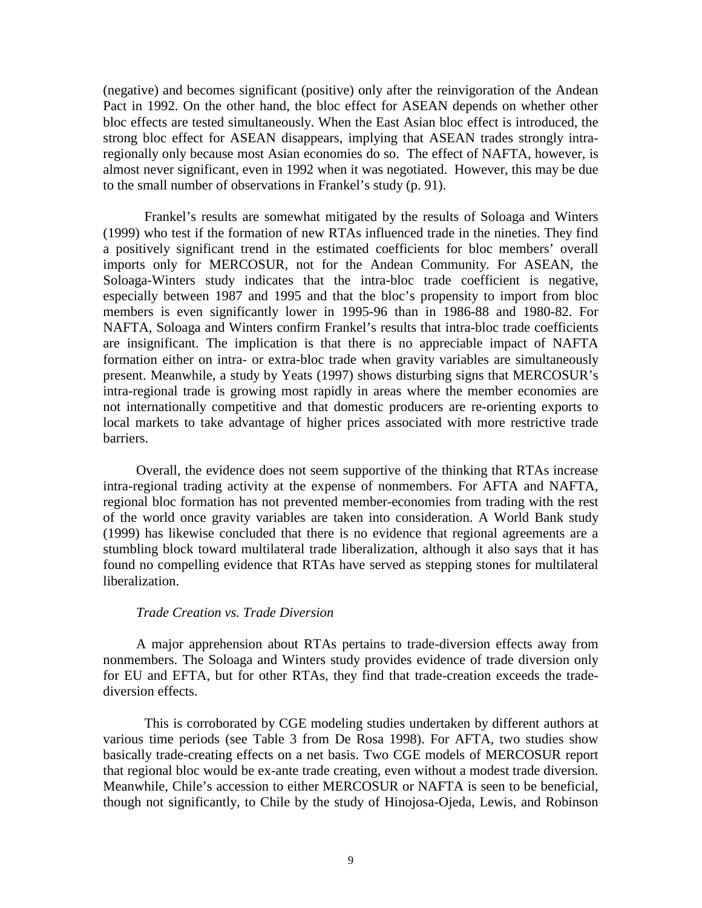(negative) and becomes significant (positive) only after the reinvigoration of the Andean Pact in 1992. On the other hand, the bloc effect for ASEAN depends on whether other bloc effects are tested simultaneously. When the East Asian bloc effect is introduced, the strong bloc effect for ASEAN disappears, implying that ASEAN trades strongly intraregionally only because most Asian economies do so. The effect of NAFTA, however, is almost never significant, even in 1992 when it was negotiated. However, this may be due to the small number of observations in Frankel's study (p. 91).

Frankel's results are somewhat mitigated by the results of Soloaga and Winters (1999) who test if the formation of new RTAs influenced trade in the nineties. They find a positively significant trend in the estimated coefficients for bloc members' overall imports only for MERCOSUR, not for the Andean Community. For ASEAN, the Soloaga-Winters study indicates that the intra-bloc trade coefficient is negative, especially between 1987 and 1995 and that the bloc's propensity to import from bloc members is even significantly lower in 1995-96 than in 1986-88 and 1980-82. For NAFTA, Soloaga and Winters confirm Frankel's results that intra-bloc trade coefficients are insignificant. The implication is that there is no appreciable impact of NAFTA formation either on intra- or extra-bloc trade when gravity variables are simultaneously present. Meanwhile, a study by Yeats (1997) shows disturbing signs that MERCOSUR's intra-regional trade is growing most rapidly in areas where the member economies are not internationally competitive and that domestic producers are re-orienting exports to local markets to take advantage of higher prices associated with more restrictive trade barriers.

 Overall, the evidence does not seem supportive of the thinking that RTAs increase intra-regional trading activity at the expense of nonmembers. For AFTA and NAFTA, regional bloc formation has not prevented member-economies from trading with the rest of the world once gravity variables are taken into consideration. A World Bank study (1999) has likewise concluded that there is no evidence that regional agreements are a stumbling block toward multilateral trade liberalization, although it also says that it has found no compelling evidence that RTAs have served as stepping stones for multilateral liberalization.

### *Trade Creation vs. Trade Diversion*

 A major apprehension about RTAs pertains to trade-diversion effects away from nonmembers. The Soloaga and Winters study provides evidence of trade diversion only for EU and EFTA, but for other RTAs, they find that trade-creation exceeds the tradediversion effects.

This is corroborated by CGE modeling studies undertaken by different authors at various time periods (see Table 3 from De Rosa 1998). For AFTA, two studies show basically trade-creating effects on a net basis. Two CGE models of MERCOSUR report that regional bloc would be ex-ante trade creating, even without a modest trade diversion. Meanwhile, Chile's accession to either MERCOSUR or NAFTA is seen to be beneficial, though not significantly, to Chile by the study of Hinojosa-Ojeda, Lewis, and Robinson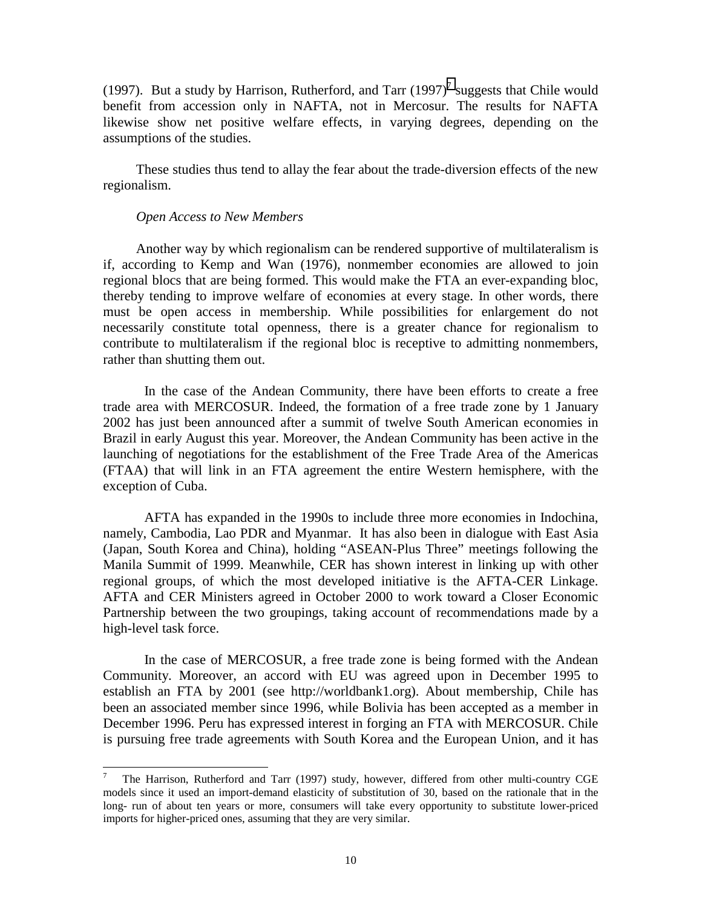(1997). But a study by Harrison, Rutherford, and Tarr  $(1997)^7$  suggests that Chile would benefit from accession only in NAFTA, not in Mercosur. The results for NAFTA likewise show net positive welfare effects, in varying degrees, depending on the assumptions of the studies.

 These studies thus tend to allay the fear about the trade-diversion effects of the new regionalism.

#### *Open Access to New Members*

l

 Another way by which regionalism can be rendered supportive of multilateralism is if, according to Kemp and Wan (1976), nonmember economies are allowed to join regional blocs that are being formed. This would make the FTA an ever-expanding bloc, thereby tending to improve welfare of economies at every stage. In other words, there must be open access in membership. While possibilities for enlargement do not necessarily constitute total openness, there is a greater chance for regionalism to contribute to multilateralism if the regional bloc is receptive to admitting nonmembers, rather than shutting them out.

In the case of the Andean Community, there have been efforts to create a free trade area with MERCOSUR. Indeed, the formation of a free trade zone by 1 January 2002 has just been announced after a summit of twelve South American economies in Brazil in early August this year. Moreover, the Andean Community has been active in the launching of negotiations for the establishment of the Free Trade Area of the Americas (FTAA) that will link in an FTA agreement the entire Western hemisphere, with the exception of Cuba.

AFTA has expanded in the 1990s to include three more economies in Indochina, namely, Cambodia, Lao PDR and Myanmar. It has also been in dialogue with East Asia (Japan, South Korea and China), holding "ASEAN-Plus Three" meetings following the Manila Summit of 1999. Meanwhile, CER has shown interest in linking up with other regional groups, of which the most developed initiative is the AFTA-CER Linkage. AFTA and CER Ministers agreed in October 2000 to work toward a Closer Economic Partnership between the two groupings, taking account of recommendations made by a high-level task force.

In the case of MERCOSUR, a free trade zone is being formed with the Andean Community. Moreover, an accord with EU was agreed upon in December 1995 to establish an FTA by 2001 (see http://worldbank1.org). About membership, Chile has been an associated member since 1996, while Bolivia has been accepted as a member in December 1996. Peru has expressed interest in forging an FTA with MERCOSUR. Chile is pursuing free trade agreements with South Korea and the European Union, and it has

<sup>7</sup> The Harrison, Rutherford and Tarr (1997) study, however, differed from other multi-country CGE models since it used an import-demand elasticity of substitution of 30, based on the rationale that in the long- run of about ten years or more, consumers will take every opportunity to substitute lower-priced imports for higher-priced ones, assuming that they are very similar.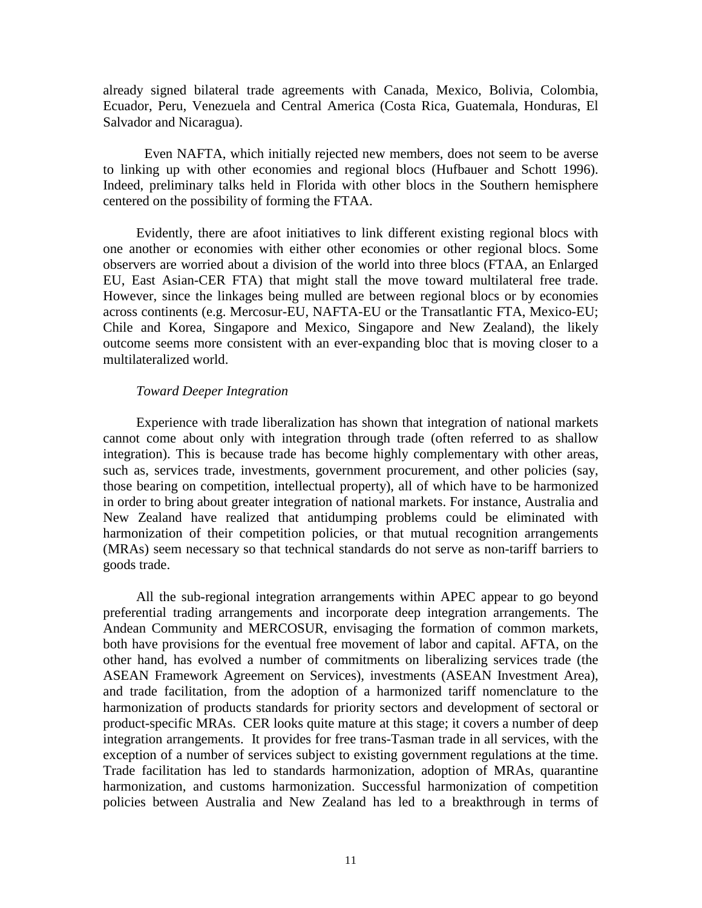already signed bilateral trade agreements with Canada, Mexico, Bolivia, Colombia, Ecuador, Peru, Venezuela and Central America (Costa Rica, Guatemala, Honduras, El Salvador and Nicaragua).

Even NAFTA, which initially rejected new members, does not seem to be averse to linking up with other economies and regional blocs (Hufbauer and Schott 1996). Indeed, preliminary talks held in Florida with other blocs in the Southern hemisphere centered on the possibility of forming the FTAA.

 Evidently, there are afoot initiatives to link different existing regional blocs with one another or economies with either other economies or other regional blocs. Some observers are worried about a division of the world into three blocs (FTAA, an Enlarged EU, East Asian-CER FTA) that might stall the move toward multilateral free trade. However, since the linkages being mulled are between regional blocs or by economies across continents (e.g. Mercosur-EU, NAFTA-EU or the Transatlantic FTA, Mexico-EU; Chile and Korea, Singapore and Mexico, Singapore and New Zealand), the likely outcome seems more consistent with an ever-expanding bloc that is moving closer to a multilateralized world.

#### *Toward Deeper Integration*

Experience with trade liberalization has shown that integration of national markets cannot come about only with integration through trade (often referred to as shallow integration). This is because trade has become highly complementary with other areas, such as, services trade, investments, government procurement, and other policies (say, those bearing on competition, intellectual property), all of which have to be harmonized in order to bring about greater integration of national markets. For instance, Australia and New Zealand have realized that antidumping problems could be eliminated with harmonization of their competition policies, or that mutual recognition arrangements (MRAs) seem necessary so that technical standards do not serve as non-tariff barriers to goods trade.

 All the sub-regional integration arrangements within APEC appear to go beyond preferential trading arrangements and incorporate deep integration arrangements. The Andean Community and MERCOSUR, envisaging the formation of common markets, both have provisions for the eventual free movement of labor and capital. AFTA, on the other hand, has evolved a number of commitments on liberalizing services trade (the ASEAN Framework Agreement on Services), investments (ASEAN Investment Area), and trade facilitation, from the adoption of a harmonized tariff nomenclature to the harmonization of products standards for priority sectors and development of sectoral or product-specific MRAs. CER looks quite mature at this stage; it covers a number of deep integration arrangements. It provides for free trans-Tasman trade in all services, with the exception of a number of services subject to existing government regulations at the time. Trade facilitation has led to standards harmonization, adoption of MRAs, quarantine harmonization, and customs harmonization. Successful harmonization of competition policies between Australia and New Zealand has led to a breakthrough in terms of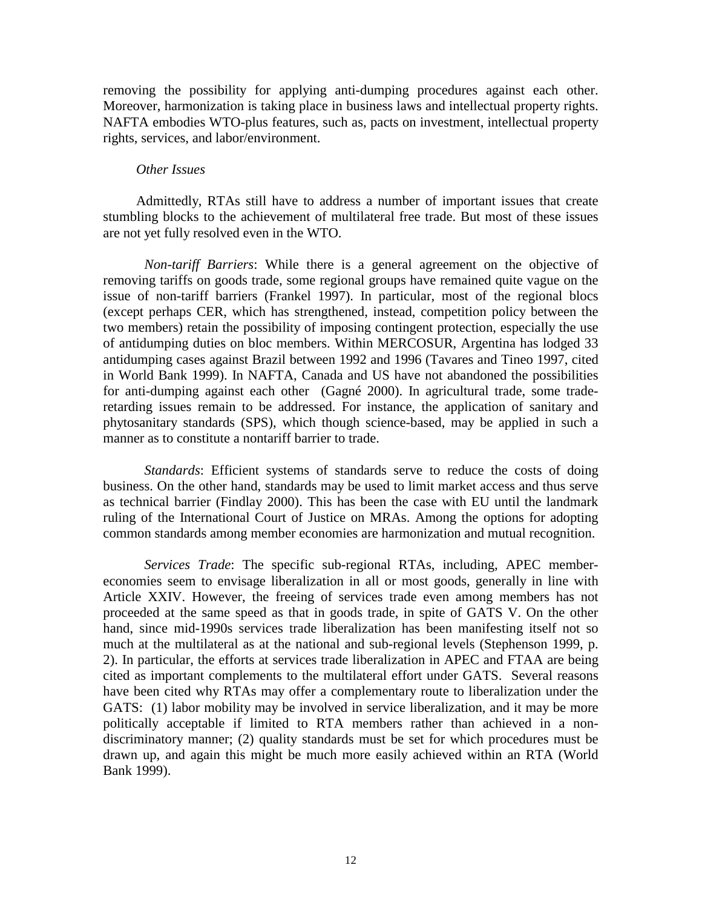removing the possibility for applying anti-dumping procedures against each other. Moreover, harmonization is taking place in business laws and intellectual property rights. NAFTA embodies WTO-plus features, such as, pacts on investment, intellectual property rights, services, and labor/environment.

#### *Other Issues*

 Admittedly, RTAs still have to address a number of important issues that create stumbling blocks to the achievement of multilateral free trade. But most of these issues are not yet fully resolved even in the WTO.

*Non-tariff Barriers*: While there is a general agreement on the objective of removing tariffs on goods trade, some regional groups have remained quite vague on the issue of non-tariff barriers (Frankel 1997). In particular, most of the regional blocs (except perhaps CER, which has strengthened, instead, competition policy between the two members) retain the possibility of imposing contingent protection, especially the use of antidumping duties on bloc members. Within MERCOSUR, Argentina has lodged 33 antidumping cases against Brazil between 1992 and 1996 (Tavares and Tineo 1997, cited in World Bank 1999). In NAFTA, Canada and US have not abandoned the possibilities for anti-dumping against each other (Gagné 2000). In agricultural trade, some traderetarding issues remain to be addressed. For instance, the application of sanitary and phytosanitary standards (SPS), which though science-based, may be applied in such a manner as to constitute a nontariff barrier to trade.

*Standards*: Efficient systems of standards serve to reduce the costs of doing business. On the other hand, standards may be used to limit market access and thus serve as technical barrier (Findlay 2000). This has been the case with EU until the landmark ruling of the International Court of Justice on MRAs. Among the options for adopting common standards among member economies are harmonization and mutual recognition.

*Services Trade*: The specific sub-regional RTAs, including, APEC membereconomies seem to envisage liberalization in all or most goods, generally in line with Article XXIV. However, the freeing of services trade even among members has not proceeded at the same speed as that in goods trade, in spite of GATS V. On the other hand, since mid-1990s services trade liberalization has been manifesting itself not so much at the multilateral as at the national and sub-regional levels (Stephenson 1999, p. 2). In particular, the efforts at services trade liberalization in APEC and FTAA are being cited as important complements to the multilateral effort under GATS. Several reasons have been cited why RTAs may offer a complementary route to liberalization under the GATS: (1) labor mobility may be involved in service liberalization, and it may be more politically acceptable if limited to RTA members rather than achieved in a nondiscriminatory manner; (2) quality standards must be set for which procedures must be drawn up, and again this might be much more easily achieved within an RTA (World Bank 1999).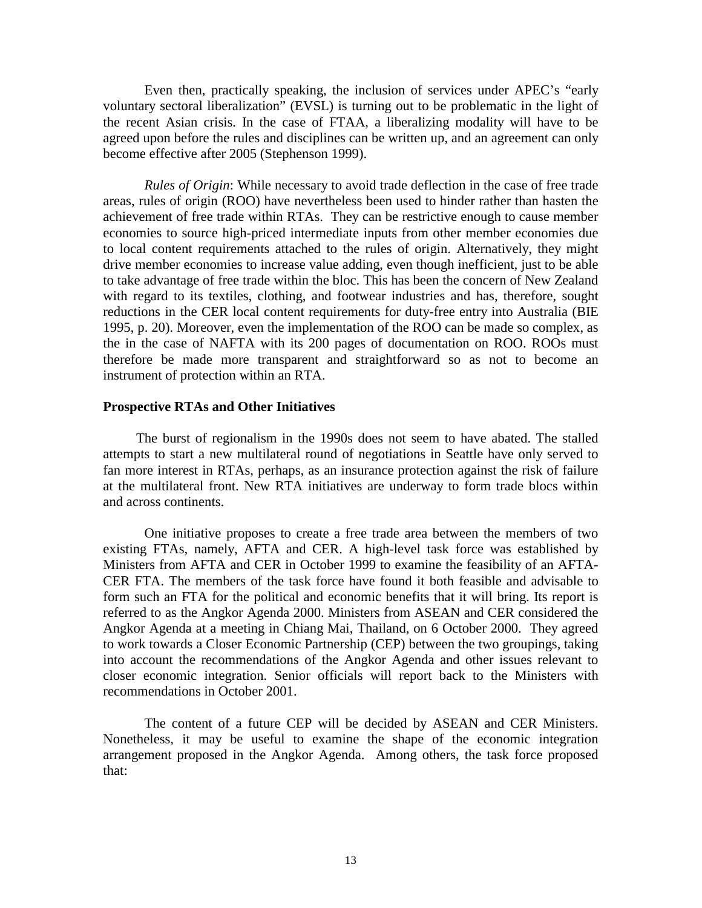Even then, practically speaking, the inclusion of services under APEC's "early voluntary sectoral liberalization" (EVSL) is turning out to be problematic in the light of the recent Asian crisis. In the case of FTAA, a liberalizing modality will have to be agreed upon before the rules and disciplines can be written up, and an agreement can only become effective after 2005 (Stephenson 1999).

*Rules of Origin*: While necessary to avoid trade deflection in the case of free trade areas, rules of origin (ROO) have nevertheless been used to hinder rather than hasten the achievement of free trade within RTAs. They can be restrictive enough to cause member economies to source high-priced intermediate inputs from other member economies due to local content requirements attached to the rules of origin. Alternatively, they might drive member economies to increase value adding, even though inefficient, just to be able to take advantage of free trade within the bloc. This has been the concern of New Zealand with regard to its textiles, clothing, and footwear industries and has, therefore, sought reductions in the CER local content requirements for duty-free entry into Australia (BIE 1995, p. 20). Moreover, even the implementation of the ROO can be made so complex, as the in the case of NAFTA with its 200 pages of documentation on ROO. ROOs must therefore be made more transparent and straightforward so as not to become an instrument of protection within an RTA.

#### **Prospective RTAs and Other Initiatives**

The burst of regionalism in the 1990s does not seem to have abated. The stalled attempts to start a new multilateral round of negotiations in Seattle have only served to fan more interest in RTAs, perhaps, as an insurance protection against the risk of failure at the multilateral front. New RTA initiatives are underway to form trade blocs within and across continents.

One initiative proposes to create a free trade area between the members of two existing FTAs, namely, AFTA and CER. A high-level task force was established by Ministers from AFTA and CER in October 1999 to examine the feasibility of an AFTA-CER FTA. The members of the task force have found it both feasible and advisable to form such an FTA for the political and economic benefits that it will bring. Its report is referred to as the Angkor Agenda 2000. Ministers from ASEAN and CER considered the Angkor Agenda at a meeting in Chiang Mai, Thailand, on 6 October 2000. They agreed to work towards a Closer Economic Partnership (CEP) between the two groupings, taking into account the recommendations of the Angkor Agenda and other issues relevant to closer economic integration. Senior officials will report back to the Ministers with recommendations in October 2001.

The content of a future CEP will be decided by ASEAN and CER Ministers. Nonetheless, it may be useful to examine the shape of the economic integration arrangement proposed in the Angkor Agenda. Among others, the task force proposed that: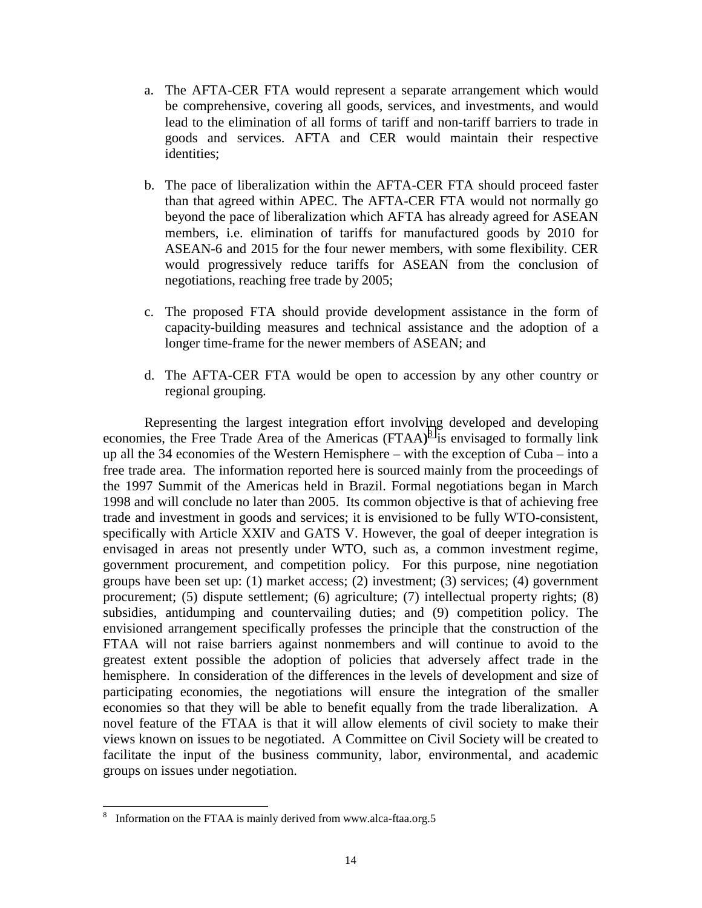- a. The AFTA-CER FTA would represent a separate arrangement which would be comprehensive, covering all goods, services, and investments, and would lead to the elimination of all forms of tariff and non-tariff barriers to trade in goods and services. AFTA and CER would maintain their respective identities;
- b. The pace of liberalization within the AFTA-CER FTA should proceed faster than that agreed within APEC. The AFTA-CER FTA would not normally go beyond the pace of liberalization which AFTA has already agreed for ASEAN members, i.e. elimination of tariffs for manufactured goods by 2010 for ASEAN-6 and 2015 for the four newer members, with some flexibility. CER would progressively reduce tariffs for ASEAN from the conclusion of negotiations, reaching free trade by 2005;
- c. The proposed FTA should provide development assistance in the form of capacity-building measures and technical assistance and the adoption of a longer time-frame for the newer members of ASEAN; and
- d. The AFTA-CER FTA would be open to accession by any other country or regional grouping.

Representing the largest integration effort involving developed and developing economies, the Free Trade Area of the Americas (FTAA)<sup>8</sup> is envisaged to formally link up all the 34 economies of the Western Hemisphere – with the exception of Cuba – into a free trade area. The information reported here is sourced mainly from the proceedings of the 1997 Summit of the Americas held in Brazil. Formal negotiations began in March 1998 and will conclude no later than 2005. Its common objective is that of achieving free trade and investment in goods and services; it is envisioned to be fully WTO-consistent, specifically with Article XXIV and GATS V. However, the goal of deeper integration is envisaged in areas not presently under WTO, such as, a common investment regime, government procurement, and competition policy. For this purpose, nine negotiation groups have been set up: (1) market access; (2) investment; (3) services; (4) government procurement; (5) dispute settlement; (6) agriculture; (7) intellectual property rights; (8) subsidies, antidumping and countervailing duties; and (9) competition policy. The envisioned arrangement specifically professes the principle that the construction of the FTAA will not raise barriers against nonmembers and will continue to avoid to the greatest extent possible the adoption of policies that adversely affect trade in the hemisphere. In consideration of the differences in the levels of development and size of participating economies, the negotiations will ensure the integration of the smaller economies so that they will be able to benefit equally from the trade liberalization. A novel feature of the FTAA is that it will allow elements of civil society to make their views known on issues to be negotiated. A Committee on Civil Society will be created to facilitate the input of the business community, labor, environmental, and academic groups on issues under negotiation.

 $\overline{a}$ 

<sup>8</sup> Information on the FTAA is mainly derived from www.alca-ftaa.org.5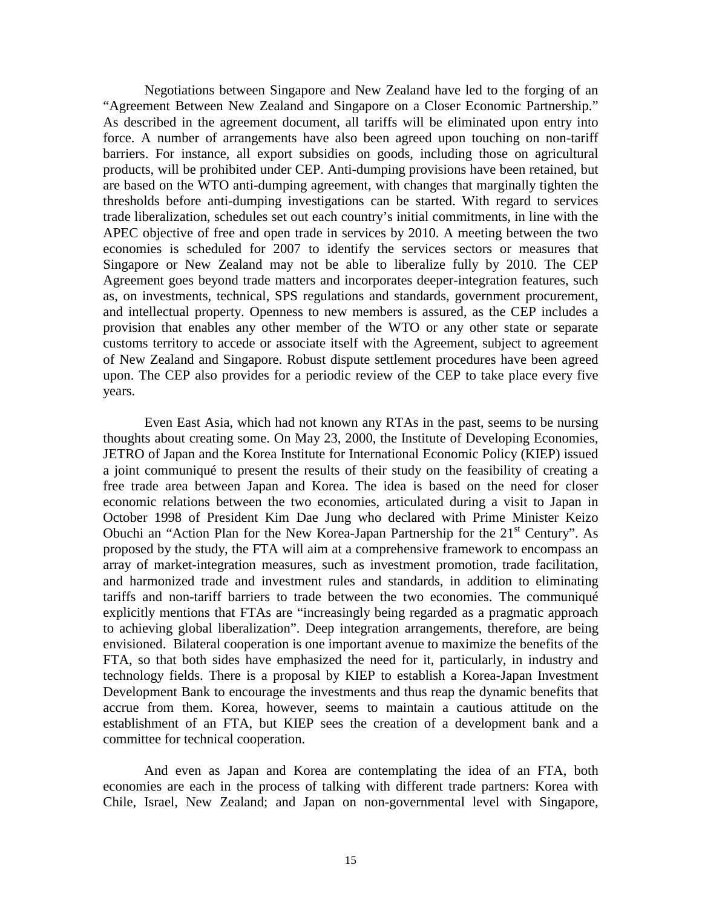Negotiations between Singapore and New Zealand have led to the forging of an "Agreement Between New Zealand and Singapore on a Closer Economic Partnership." As described in the agreement document, all tariffs will be eliminated upon entry into force. A number of arrangements have also been agreed upon touching on non-tariff barriers. For instance, all export subsidies on goods, including those on agricultural products, will be prohibited under CEP. Anti-dumping provisions have been retained, but are based on the WTO anti-dumping agreement, with changes that marginally tighten the thresholds before anti-dumping investigations can be started. With regard to services trade liberalization, schedules set out each country's initial commitments, in line with the APEC objective of free and open trade in services by 2010. A meeting between the two economies is scheduled for 2007 to identify the services sectors or measures that Singapore or New Zealand may not be able to liberalize fully by 2010. The CEP Agreement goes beyond trade matters and incorporates deeper-integration features, such as, on investments, technical, SPS regulations and standards, government procurement, and intellectual property. Openness to new members is assured, as the CEP includes a provision that enables any other member of the WTO or any other state or separate customs territory to accede or associate itself with the Agreement, subject to agreement of New Zealand and Singapore. Robust dispute settlement procedures have been agreed upon. The CEP also provides for a periodic review of the CEP to take place every five years.

Even East Asia, which had not known any RTAs in the past, seems to be nursing thoughts about creating some. On May 23, 2000, the Institute of Developing Economies, JETRO of Japan and the Korea Institute for International Economic Policy (KIEP) issued a joint communiqué to present the results of their study on the feasibility of creating a free trade area between Japan and Korea. The idea is based on the need for closer economic relations between the two economies, articulated during a visit to Japan in October 1998 of President Kim Dae Jung who declared with Prime Minister Keizo Obuchi an "Action Plan for the New Korea-Japan Partnership for the  $21<sup>st</sup>$  Century". As proposed by the study, the FTA will aim at a comprehensive framework to encompass an array of market-integration measures, such as investment promotion, trade facilitation, and harmonized trade and investment rules and standards, in addition to eliminating tariffs and non-tariff barriers to trade between the two economies. The communiqué explicitly mentions that FTAs are "increasingly being regarded as a pragmatic approach to achieving global liberalization". Deep integration arrangements, therefore, are being envisioned. Bilateral cooperation is one important avenue to maximize the benefits of the FTA, so that both sides have emphasized the need for it, particularly, in industry and technology fields. There is a proposal by KIEP to establish a Korea-Japan Investment Development Bank to encourage the investments and thus reap the dynamic benefits that accrue from them. Korea, however, seems to maintain a cautious attitude on the establishment of an FTA, but KIEP sees the creation of a development bank and a committee for technical cooperation.

And even as Japan and Korea are contemplating the idea of an FTA, both economies are each in the process of talking with different trade partners: Korea with Chile, Israel, New Zealand; and Japan on non-governmental level with Singapore,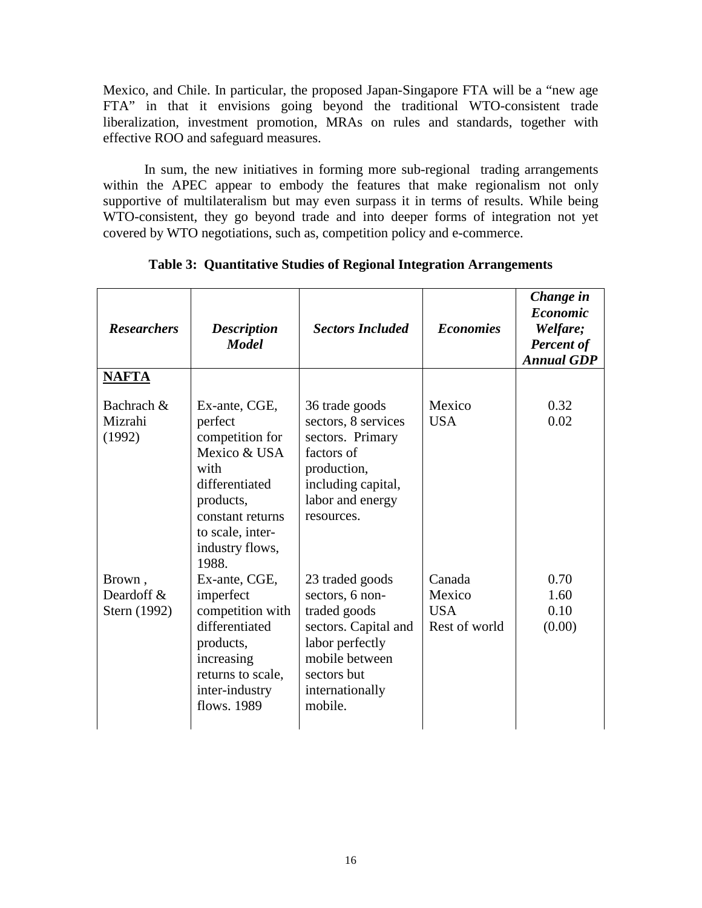Mexico, and Chile. In particular, the proposed Japan-Singapore FTA will be a "new age FTA" in that it envisions going beyond the traditional WTO-consistent trade liberalization, investment promotion, MRAs on rules and standards, together with effective ROO and safeguard measures.

In sum, the new initiatives in forming more sub-regional trading arrangements within the APEC appear to embody the features that make regionalism not only supportive of multilateralism but may even surpass it in terms of results. While being WTO-consistent, they go beyond trade and into deeper forms of integration not yet covered by WTO negotiations, such as, competition policy and e-commerce.

| <b>Researchers</b>                   | <b>Description</b><br><b>Model</b>                                                                                                                                     | <b>Sectors Included</b>                                                                                                                                      | <b>Economies</b>                                | Change in<br><b>Economic</b><br>Welfare;<br><b>Percent of</b><br><b>Annual GDP</b> |
|--------------------------------------|------------------------------------------------------------------------------------------------------------------------------------------------------------------------|--------------------------------------------------------------------------------------------------------------------------------------------------------------|-------------------------------------------------|------------------------------------------------------------------------------------|
| <b>NAFTA</b>                         |                                                                                                                                                                        |                                                                                                                                                              |                                                 |                                                                                    |
| Bachrach &<br>Mizrahi<br>(1992)      | Ex-ante, CGE,<br>perfect<br>competition for<br>Mexico & USA<br>with<br>differentiated<br>products,<br>constant returns<br>to scale, inter-<br>industry flows,<br>1988. | 36 trade goods<br>sectors, 8 services<br>sectors. Primary<br>factors of<br>production,<br>including capital,<br>labor and energy<br>resources.               | Mexico<br><b>USA</b>                            | 0.32<br>0.02                                                                       |
| Brown,<br>Deardoff &<br>Stern (1992) | Ex-ante, CGE,<br>imperfect<br>competition with<br>differentiated<br>products,<br>increasing<br>returns to scale,<br>inter-industry<br>flows. 1989                      | 23 traded goods<br>sectors, 6 non-<br>traded goods<br>sectors. Capital and<br>labor perfectly<br>mobile between<br>sectors but<br>internationally<br>mobile. | Canada<br>Mexico<br><b>USA</b><br>Rest of world | 0.70<br>1.60<br>0.10<br>(0.00)                                                     |

**Table 3: Quantitative Studies of Regional Integration Arrangements**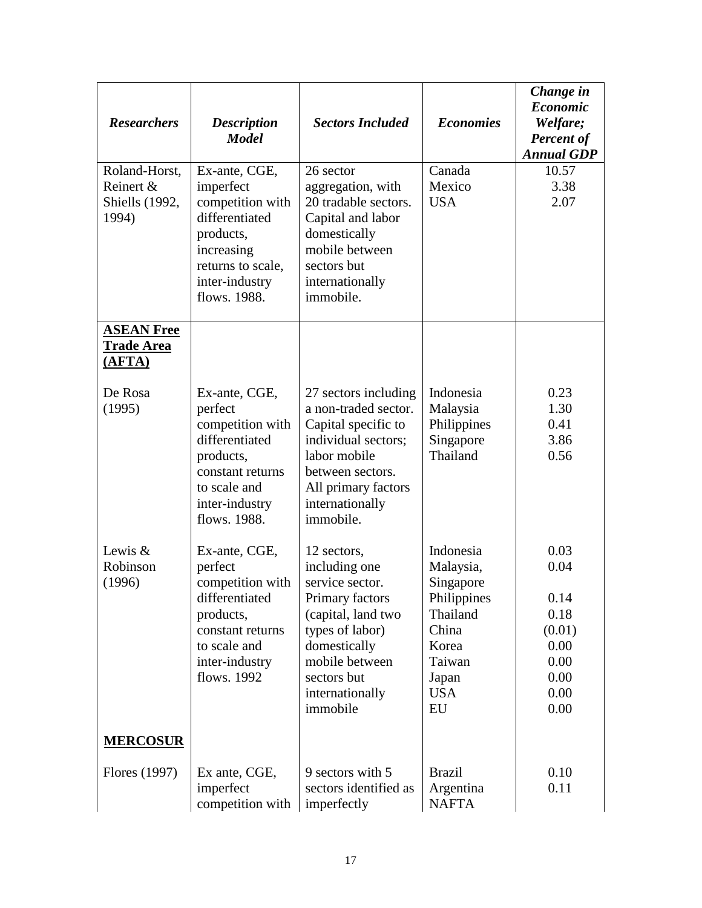| <b>Researchers</b>                                           | <b>Description</b><br><b>Model</b>                                                                                                                 | <b>Sectors Included</b>                                                                                                                                                                     | <b>Economies</b>                                                                                                        | Change in<br><b>Economic</b><br>Welfare;<br><b>Percent of</b><br><b>Annual GDP</b> |
|--------------------------------------------------------------|----------------------------------------------------------------------------------------------------------------------------------------------------|---------------------------------------------------------------------------------------------------------------------------------------------------------------------------------------------|-------------------------------------------------------------------------------------------------------------------------|------------------------------------------------------------------------------------|
| Roland-Horst,<br>Reinert &<br><b>Shiells</b> (1992,<br>1994) | Ex-ante, CGE,<br>imperfect<br>competition with<br>differentiated<br>products,<br>increasing<br>returns to scale,<br>inter-industry<br>flows. 1988. | 26 sector<br>aggregation, with<br>20 tradable sectors.<br>Capital and labor<br>domestically<br>mobile between<br>sectors but<br>internationally<br>immobile.                                | Canada<br>Mexico<br><b>USA</b>                                                                                          | 10.57<br>3.38<br>2.07                                                              |
| <b>ASEAN Free</b><br><b>Trade Area</b><br>(AFTA)             |                                                                                                                                                    |                                                                                                                                                                                             |                                                                                                                         |                                                                                    |
| De Rosa<br>(1995)                                            | Ex-ante, CGE,<br>perfect<br>competition with<br>differentiated<br>products,<br>constant returns<br>to scale and<br>inter-industry<br>flows. 1988.  | 27 sectors including<br>a non-traded sector.<br>Capital specific to<br>individual sectors;<br>labor mobile<br>between sectors.<br>All primary factors<br>internationally<br>immobile.       | Indonesia<br>Malaysia<br>Philippines<br>Singapore<br>Thailand                                                           | 0.23<br>1.30<br>0.41<br>3.86<br>0.56                                               |
| Lewis $\&$<br>Robinson<br>(1996)                             | Ex-ante, CGE,<br>perfect<br>competition with<br>differentiated<br>products,<br>constant returns<br>to scale and<br>inter-industry<br>flows. 1992   | 12 sectors,<br>including one<br>service sector.<br>Primary factors<br>(capital, land two<br>types of labor)<br>domestically<br>mobile between<br>sectors but<br>internationally<br>immobile | Indonesia<br>Malaysia,<br>Singapore<br>Philippines<br>Thailand<br>China<br>Korea<br>Taiwan<br>Japan<br><b>USA</b><br>EU | 0.03<br>0.04<br>0.14<br>0.18<br>(0.01)<br>0.00<br>0.00<br>0.00<br>0.00<br>0.00     |
| <b>MERCOSUR</b>                                              |                                                                                                                                                    |                                                                                                                                                                                             |                                                                                                                         |                                                                                    |
| Flores (1997)                                                | Ex ante, CGE,<br>imperfect<br>competition with                                                                                                     | 9 sectors with 5<br>sectors identified as<br>imperfectly                                                                                                                                    | <b>Brazil</b><br>Argentina<br><b>NAFTA</b>                                                                              | 0.10<br>0.11                                                                       |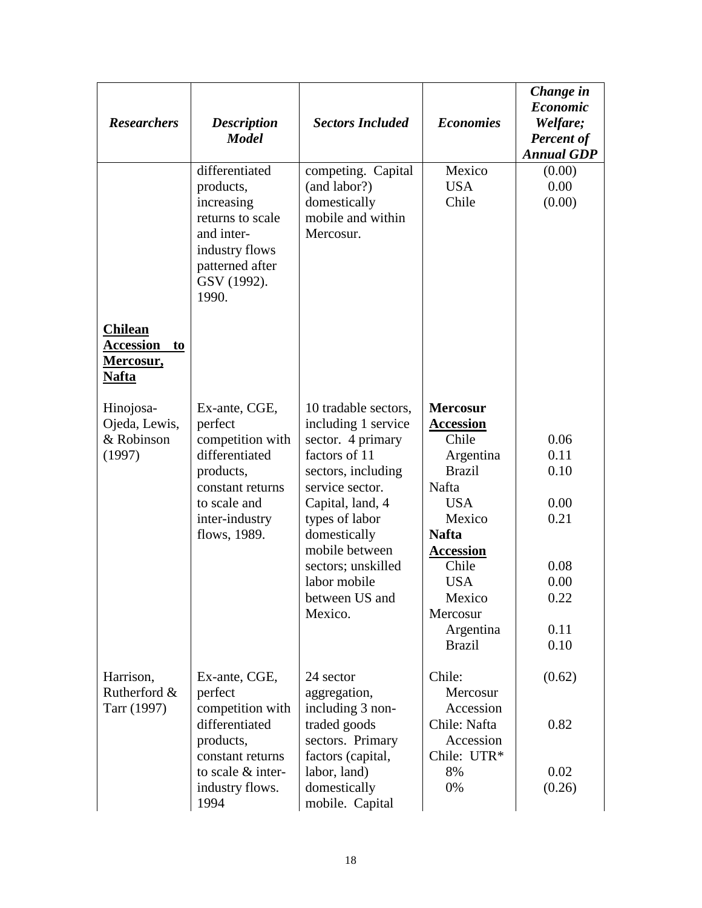| <b>Researchers</b>                                                    | <b>Description</b><br><b>Model</b>                                                                                                                | <b>Sectors Included</b>                                                                                                                                                                                                                                               | <b>Economies</b>                                                                                                                                                                                                           | Change in<br><b>Economic</b><br>Welfare;<br><b>Percent of</b><br><b>Annual GDP</b> |
|-----------------------------------------------------------------------|---------------------------------------------------------------------------------------------------------------------------------------------------|-----------------------------------------------------------------------------------------------------------------------------------------------------------------------------------------------------------------------------------------------------------------------|----------------------------------------------------------------------------------------------------------------------------------------------------------------------------------------------------------------------------|------------------------------------------------------------------------------------|
|                                                                       | differentiated<br>products,<br>increasing<br>returns to scale<br>and inter-<br>industry flows<br>patterned after<br>GSV (1992).<br>1990.          | competing. Capital<br>(and labor?)<br>domestically<br>mobile and within<br>Mercosur.                                                                                                                                                                                  | Mexico<br><b>USA</b><br>Chile                                                                                                                                                                                              | (0.00)<br>0.00<br>(0.00)                                                           |
| <b>Chilean</b><br><b>Accession</b><br>to<br><u>Mercosur,</u><br>Nafta |                                                                                                                                                   |                                                                                                                                                                                                                                                                       |                                                                                                                                                                                                                            |                                                                                    |
| Hinojosa-<br>Ojeda, Lewis,<br>& Robinson<br>(1997)                    | Ex-ante, CGE,<br>perfect<br>competition with<br>differentiated<br>products,<br>constant returns<br>to scale and<br>inter-industry<br>flows, 1989. | 10 tradable sectors,<br>including 1 service<br>sector. 4 primary<br>factors of 11<br>sectors, including<br>service sector.<br>Capital, land, 4<br>types of labor<br>domestically<br>mobile between<br>sectors; unskilled<br>labor mobile<br>between US and<br>Mexico. | <b>Mercosur</b><br><b>Accession</b><br>Chile<br>Argentina<br><b>Brazil</b><br>Nafta<br><b>USA</b><br>Mexico<br><b>Nafta</b><br><b>Accession</b><br>Chile<br><b>USA</b><br>Mexico<br>Mercosur<br>Argentina<br><b>Brazil</b> | 0.06<br>0.11<br>0.10<br>0.00<br>0.21<br>0.08<br>0.00<br>0.22<br>0.11<br>0.10       |
| Harrison,<br>Rutherford &<br>Tarr (1997)                              | Ex-ante, CGE,<br>perfect<br>competition with<br>differentiated<br>products,<br>constant returns                                                   | 24 sector<br>aggregation,<br>including 3 non-<br>traded goods<br>sectors. Primary<br>factors (capital,                                                                                                                                                                | Chile:<br>Mercosur<br>Accession<br>Chile: Nafta<br>Accession<br>Chile: UTR*                                                                                                                                                | (0.62)<br>0.82                                                                     |
|                                                                       | to scale & inter-<br>industry flows.<br>1994                                                                                                      | labor, land)<br>domestically<br>mobile. Capital                                                                                                                                                                                                                       | 8%<br>0%                                                                                                                                                                                                                   | 0.02<br>(0.26)                                                                     |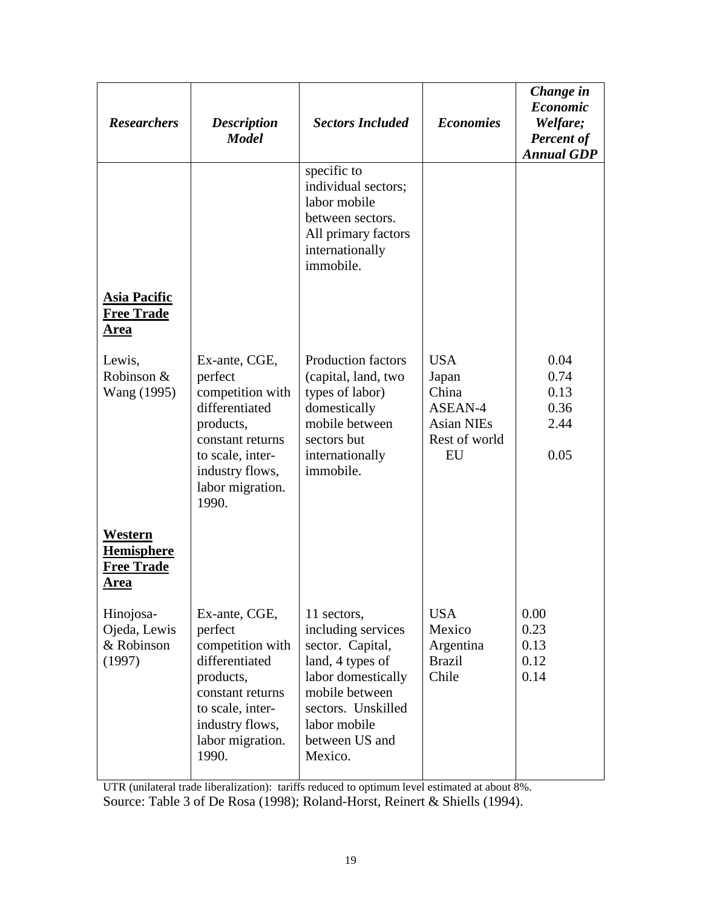| <b>Researchers</b>                                        | <b>Description</b><br><b>Model</b>                                                                                                                                  | <b>Sectors Included</b>                                                                                                                                                              | <b>Economies</b>                                                                    | Change in<br><b>Economic</b><br>Welfare;<br><b>Percent of</b><br><b>Annual GDP</b> |
|-----------------------------------------------------------|---------------------------------------------------------------------------------------------------------------------------------------------------------------------|--------------------------------------------------------------------------------------------------------------------------------------------------------------------------------------|-------------------------------------------------------------------------------------|------------------------------------------------------------------------------------|
|                                                           |                                                                                                                                                                     | specific to<br>individual sectors;<br>labor mobile<br>between sectors.<br>All primary factors<br>internationally<br>immobile.                                                        |                                                                                     |                                                                                    |
| <b>Asia Pacific</b><br><b>Free Trade</b><br><u>Area</u>   |                                                                                                                                                                     |                                                                                                                                                                                      |                                                                                     |                                                                                    |
| Lewis,<br>Robinson &<br>Wang (1995)                       | Ex-ante, CGE,<br>perfect<br>competition with<br>differentiated<br>products,<br>constant returns<br>to scale, inter-<br>industry flows,<br>labor migration.<br>1990. | <b>Production factors</b><br>(capital, land, two<br>types of labor)<br>domestically<br>mobile between<br>sectors but<br>internationally<br>immobile.                                 | <b>USA</b><br>Japan<br>China<br>ASEAN-4<br><b>Asian NIEs</b><br>Rest of world<br>EU | 0.04<br>0.74<br>0.13<br>0.36<br>2.44<br>0.05                                       |
| Western<br><b>Hemisphere</b><br><b>Free Trade</b><br>Area |                                                                                                                                                                     |                                                                                                                                                                                      |                                                                                     |                                                                                    |
| Hinojosa-<br>Ojeda, Lewis<br>& Robinson<br>(1997)         | Ex-ante, CGE,<br>perfect<br>competition with<br>differentiated<br>products,<br>constant returns<br>to scale, inter-<br>industry flows,<br>labor migration.<br>1990. | 11 sectors,<br>including services<br>sector. Capital,<br>land, 4 types of<br>labor domestically<br>mobile between<br>sectors. Unskilled<br>labor mobile<br>between US and<br>Mexico. | <b>USA</b><br>Mexico<br>Argentina<br><b>Brazil</b><br>Chile                         | 0.00<br>0.23<br>0.13<br>0.12<br>0.14                                               |

UTR (unilateral trade liberalization): tariffs reduced to optimum level estimated at about 8%. Source: Table 3 of De Rosa (1998); Roland-Horst, Reinert & Shiells (1994).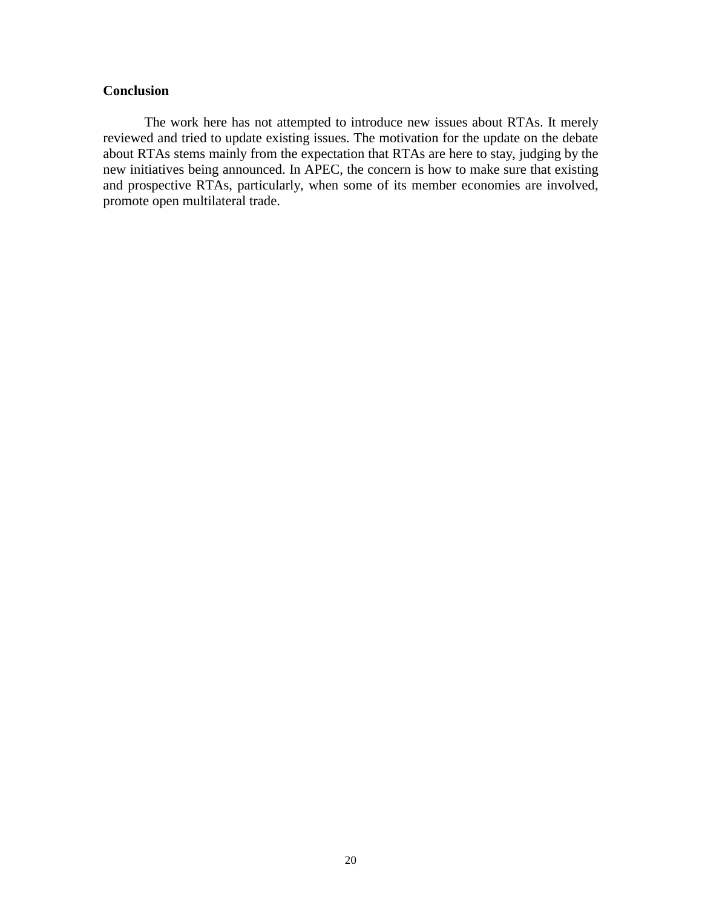## **Conclusion**

The work here has not attempted to introduce new issues about RTAs. It merely reviewed and tried to update existing issues. The motivation for the update on the debate about RTAs stems mainly from the expectation that RTAs are here to stay, judging by the new initiatives being announced. In APEC, the concern is how to make sure that existing and prospective RTAs, particularly, when some of its member economies are involved, promote open multilateral trade.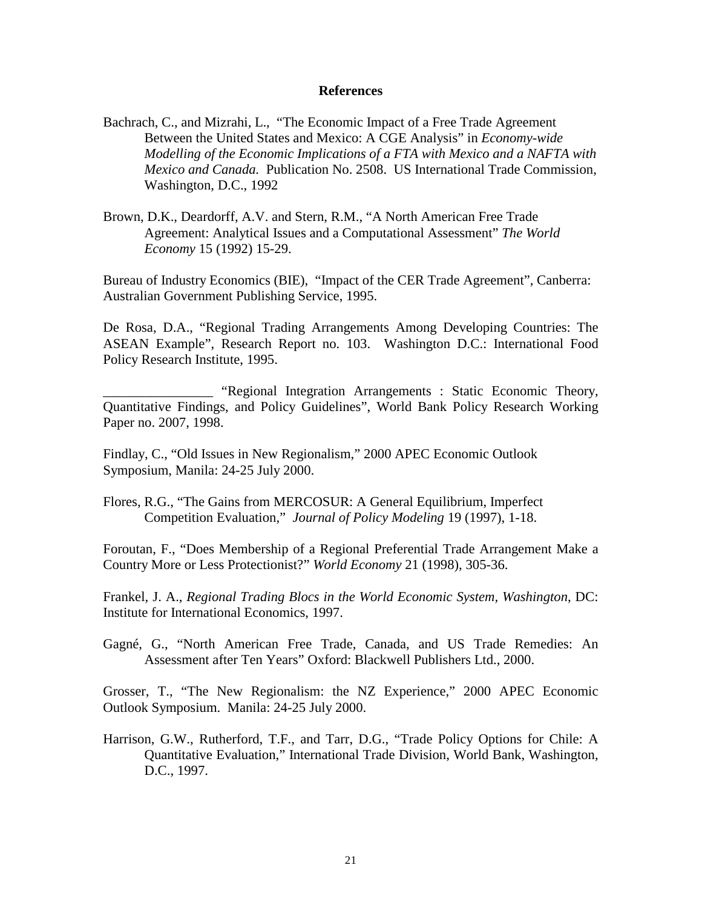#### **References**

- Bachrach, C., and Mizrahi, L., "The Economic Impact of a Free Trade Agreement Between the United States and Mexico: A CGE Analysis" in *Economy-wide Modelling of the Economic Implications of a FTA with Mexico and a NAFTA with Mexico and Canada.* Publication No. 2508. US International Trade Commission, Washington, D.C., 1992
- Brown, D.K., Deardorff, A.V. and Stern, R.M., "A North American Free Trade Agreement: Analytical Issues and a Computational Assessment" *The World Economy* 15 (1992) 15-29.

Bureau of Industry Economics (BIE), "Impact of the CER Trade Agreement", Canberra: Australian Government Publishing Service, 1995.

De Rosa, D.A., "Regional Trading Arrangements Among Developing Countries: The ASEAN Example", Research Report no. 103. Washington D.C.: International Food Policy Research Institute, 1995.

\_\_\_\_\_\_\_\_\_\_\_\_\_\_\_\_ "Regional Integration Arrangements : Static Economic Theory, Quantitative Findings, and Policy Guidelines", World Bank Policy Research Working Paper no. 2007, 1998.

Findlay, C., "Old Issues in New Regionalism," 2000 APEC Economic Outlook Symposium, Manila: 24-25 July 2000.

Flores, R.G., "The Gains from MERCOSUR: A General Equilibrium, Imperfect Competition Evaluation," *Journal of Policy Modeling* 19 (1997), 1-18.

Foroutan, F., "Does Membership of a Regional Preferential Trade Arrangement Make a Country More or Less Protectionist?" *World Economy* 21 (1998), 305-36.

Frankel, J. A., *Regional Trading Blocs in the World Economic System, Washington*, DC: Institute for International Economics, 1997.

Gagné, G., "North American Free Trade, Canada, and US Trade Remedies: An Assessment after Ten Years" Oxford: Blackwell Publishers Ltd., 2000.

Grosser, T., "The New Regionalism: the NZ Experience," 2000 APEC Economic Outlook Symposium. Manila: 24-25 July 2000.

Harrison, G.W., Rutherford, T.F., and Tarr, D.G., "Trade Policy Options for Chile: A Quantitative Evaluation," International Trade Division, World Bank, Washington, D.C., 1997.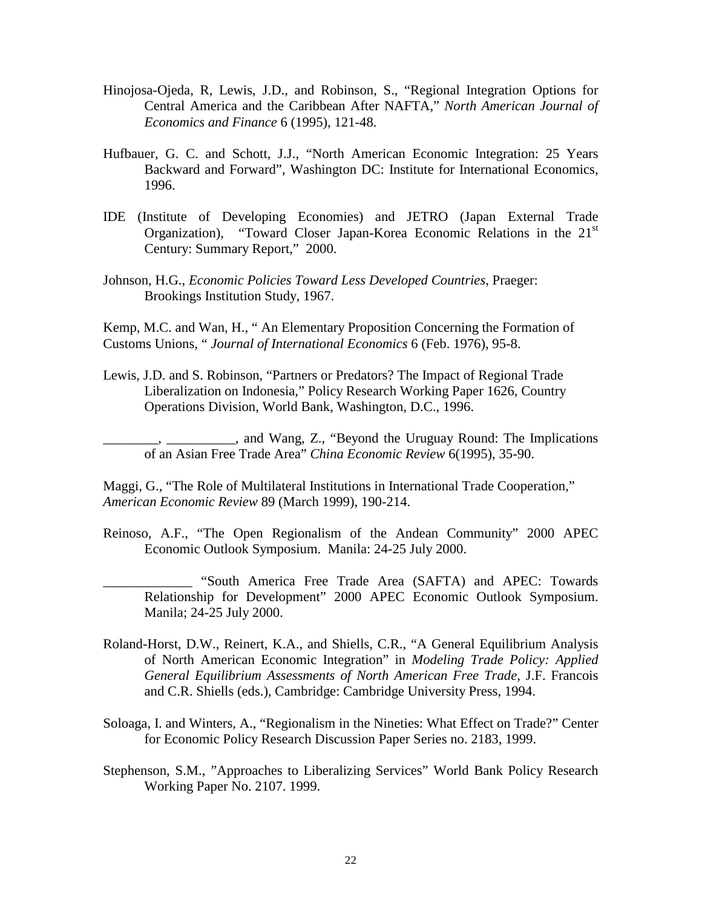- Hinojosa-Ojeda, R, Lewis, J.D., and Robinson, S., "Regional Integration Options for Central America and the Caribbean After NAFTA," *North American Journal of Economics and Finance* 6 (1995), 121-48.
- Hufbauer, G. C. and Schott, J.J., "North American Economic Integration: 25 Years Backward and Forward", Washington DC: Institute for International Economics, 1996.
- IDE (Institute of Developing Economies) and JETRO (Japan External Trade Organization), "Toward Closer Japan-Korea Economic Relations in the 21<sup>st</sup> Century: Summary Report," 2000.
- Johnson, H.G., *Economic Policies Toward Less Developed Countries*, Praeger: Brookings Institution Study, 1967.

Kemp, M.C. and Wan, H., " An Elementary Proposition Concerning the Formation of Customs Unions, " *Journal of International Economics* 6 (Feb. 1976), 95-8.

Lewis, J.D. and S. Robinson, "Partners or Predators? The Impact of Regional Trade Liberalization on Indonesia," Policy Research Working Paper 1626, Country Operations Division, World Bank, Washington, D.C., 1996.

\_\_\_\_\_\_\_\_, \_\_\_\_\_\_\_\_\_\_, and Wang, Z., "Beyond the Uruguay Round: The Implications of an Asian Free Trade Area" *China Economic Review* 6(1995), 35-90.

Maggi, G., "The Role of Multilateral Institutions in International Trade Cooperation," *American Economic Review* 89 (March 1999), 190-214.

- Reinoso, A.F., "The Open Regionalism of the Andean Community" 2000 APEC Economic Outlook Symposium. Manila: 24-25 July 2000.
	- \_\_\_\_\_\_\_\_\_\_\_\_\_ "South America Free Trade Area (SAFTA) and APEC: Towards Relationship for Development" 2000 APEC Economic Outlook Symposium. Manila; 24-25 July 2000.
- Roland-Horst, D.W., Reinert, K.A., and Shiells, C.R., "A General Equilibrium Analysis of North American Economic Integration" in *Modeling Trade Policy: Applied General Equilibrium Assessments of North American Free Trade,* J.F. Francois and C.R. Shiells (eds.), Cambridge: Cambridge University Press, 1994.
- Soloaga, I. and Winters, A., "Regionalism in the Nineties: What Effect on Trade?" Center for Economic Policy Research Discussion Paper Series no. 2183, 1999.
- Stephenson, S.M., "Approaches to Liberalizing Services" World Bank Policy Research Working Paper No. 2107. 1999.